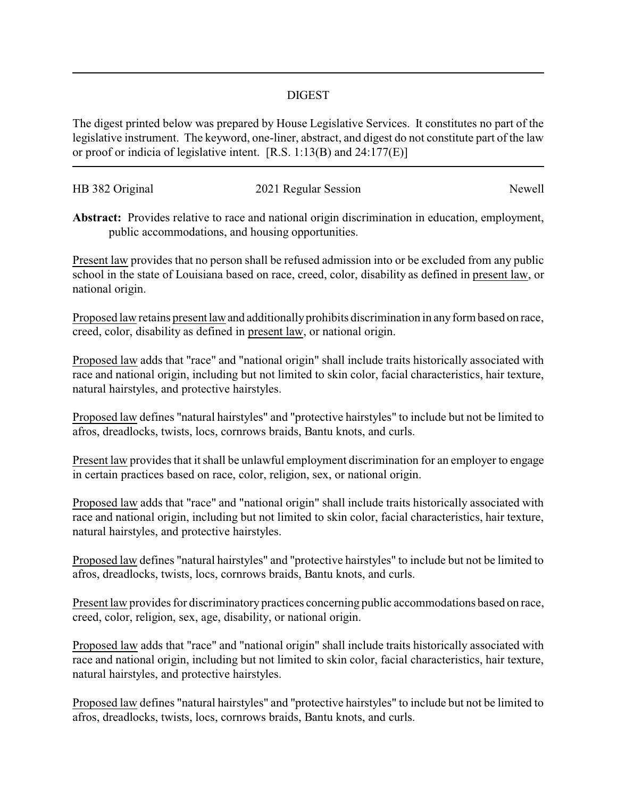## DIGEST

The digest printed below was prepared by House Legislative Services. It constitutes no part of the legislative instrument. The keyword, one-liner, abstract, and digest do not constitute part of the law or proof or indicia of legislative intent. [R.S. 1:13(B) and 24:177(E)]

| HB 382 Original | 2021 Regular Session | Newell |
|-----------------|----------------------|--------|
|                 |                      |        |

**Abstract:** Provides relative to race and national origin discrimination in education, employment, public accommodations, and housing opportunities.

Present law provides that no person shall be refused admission into or be excluded from any public school in the state of Louisiana based on race, creed, color, disability as defined in present law, or national origin.

Proposed law retains present law and additionally prohibits discrimination in any form based on race, creed, color, disability as defined in present law, or national origin.

Proposed law adds that "race" and "national origin" shall include traits historically associated with race and national origin, including but not limited to skin color, facial characteristics, hair texture, natural hairstyles, and protective hairstyles.

Proposed law defines "natural hairstyles" and "protective hairstyles" to include but not be limited to afros, dreadlocks, twists, locs, cornrows braids, Bantu knots, and curls.

Present law provides that it shall be unlawful employment discrimination for an employer to engage in certain practices based on race, color, religion, sex, or national origin.

Proposed law adds that "race" and "national origin" shall include traits historically associated with race and national origin, including but not limited to skin color, facial characteristics, hair texture, natural hairstyles, and protective hairstyles.

Proposed law defines "natural hairstyles" and "protective hairstyles" to include but not be limited to afros, dreadlocks, twists, locs, cornrows braids, Bantu knots, and curls.

Present law provides for discriminatory practices concerning public accommodations based on race, creed, color, religion, sex, age, disability, or national origin.

Proposed law adds that "race" and "national origin" shall include traits historically associated with race and national origin, including but not limited to skin color, facial characteristics, hair texture, natural hairstyles, and protective hairstyles.

Proposed law defines "natural hairstyles" and "protective hairstyles" to include but not be limited to afros, dreadlocks, twists, locs, cornrows braids, Bantu knots, and curls.